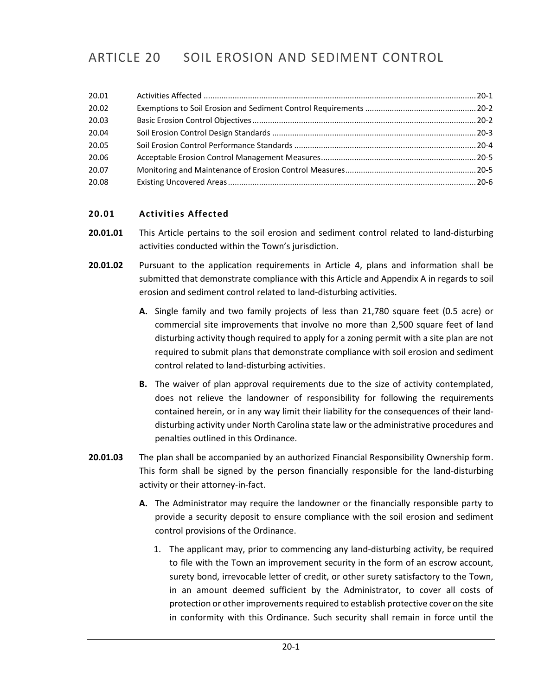# ARTICLE 20 SOIL EROSION AND SEDIMENT CONTROL

| 20.01 |  |
|-------|--|
| 20.02 |  |
| 20.03 |  |
| 20.04 |  |
| 20.05 |  |
| 20.06 |  |
| 20.07 |  |
| 20.08 |  |

# <span id="page-0-0"></span>**20.01 Activities Affected**

- **20.01.01** This Article pertains to the soil erosion and sediment control related to land-disturbing activities conducted within the Town's jurisdiction.
- **20.01.02** Pursuant to the application requirements in Article 4, plans and information shall be submitted that demonstrate compliance with this Article and Appendix A in regards to soil erosion and sediment control related to land-disturbing activities.
	- **A.** Single family and two family projects of less than 21,780 square feet (0.5 acre) or commercial site improvements that involve no more than 2,500 square feet of land disturbing activity though required to apply for a zoning permit with a site plan are not required to submit plans that demonstrate compliance with soil erosion and sediment control related to land-disturbing activities.
	- **B.** The waiver of plan approval requirements due to the size of activity contemplated, does not relieve the landowner of responsibility for following the requirements contained herein, or in any way limit their liability for the consequences of their landdisturbing activity under North Carolina state law or the administrative procedures and penalties outlined in this Ordinance.
- **20.01.03** The plan shall be accompanied by an authorized Financial Responsibility Ownership form. This form shall be signed by the person financially responsible for the land-disturbing activity or their attorney-in-fact.
	- **A.** The Administrator may require the landowner or the financially responsible party to provide a security deposit to ensure compliance with the soil erosion and sediment control provisions of the Ordinance.
		- 1. The applicant may, prior to commencing any land-disturbing activity, be required to file with the Town an improvement security in the form of an escrow account, surety bond, irrevocable letter of credit, or other surety satisfactory to the Town, in an amount deemed sufficient by the Administrator, to cover all costs of protection or other improvements required to establish protective cover on the site in conformity with this Ordinance. Such security shall remain in force until the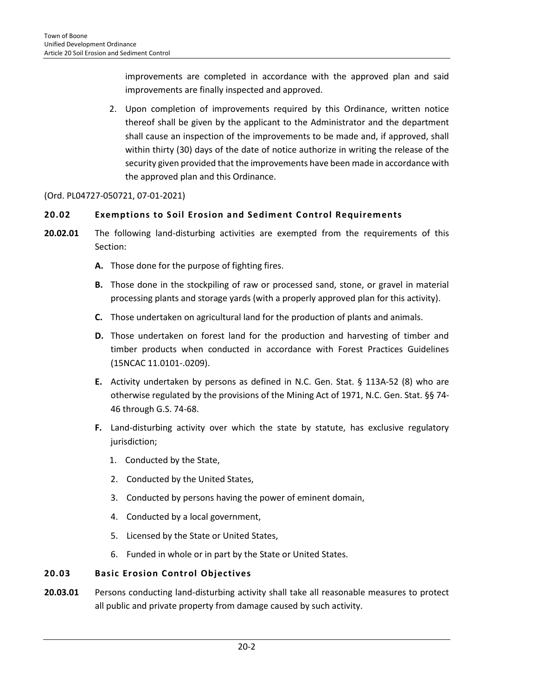improvements are completed in accordance with the approved plan and said improvements are finally inspected and approved.

2. Upon completion of improvements required by this Ordinance, written notice thereof shall be given by the applicant to the Administrator and the department shall cause an inspection of the improvements to be made and, if approved, shall within thirty (30) days of the date of notice authorize in writing the release of the security given provided that the improvements have been made in accordance with the approved plan and this Ordinance.

# (Ord. PL04727-050721, 07-01-2021)

# <span id="page-1-0"></span>**20.02 Exemptions to Soil Erosion and Sediment C ontrol Requirements**

- **20.02.01** The following land-disturbing activities are exempted from the requirements of this Section:
	- **A.** Those done for the purpose of fighting fires.
	- **B.** Those done in the stockpiling of raw or processed sand, stone, or gravel in material processing plants and storage yards (with a properly approved plan for this activity).
	- **C.** Those undertaken on agricultural land for the production of plants and animals.
	- **D.** Those undertaken on forest land for the production and harvesting of timber and timber products when conducted in accordance with Forest Practices Guidelines (15NCAC 11.0101-.0209).
	- **E.** Activity undertaken by persons as defined in N.C. Gen. Stat. § 113A-52 (8) who are otherwise regulated by the provisions of the Mining Act of 1971, N.C. Gen. Stat. §§ 74- 46 through G.S. 74-68.
	- **F.** Land-disturbing activity over which the state by statute, has exclusive regulatory jurisdiction;
		- 1. Conducted by the State,
		- 2. Conducted by the United States,
		- 3. Conducted by persons having the power of eminent domain,
		- 4. Conducted by a local government,
		- 5. Licensed by the State or United States,
		- 6. Funded in whole or in part by the State or United States.

# <span id="page-1-1"></span>**20.03 Basic Erosion Control Objectives**

**20.03.01** Persons conducting land-disturbing activity shall take all reasonable measures to protect all public and private property from damage caused by such activity.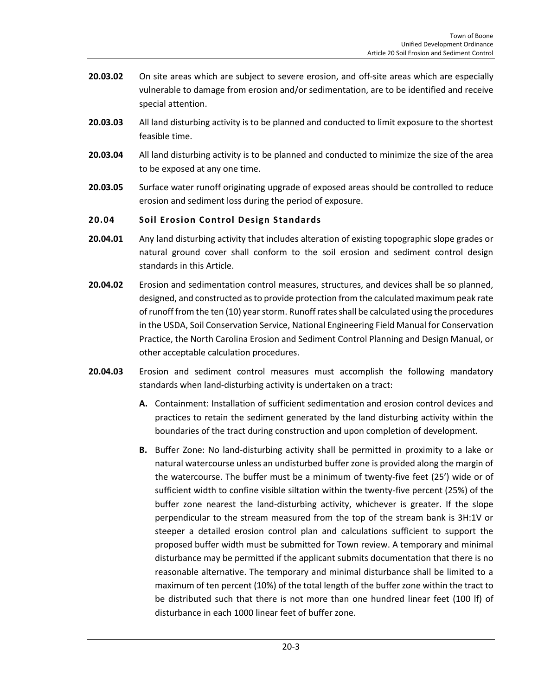- **20.03.02** On site areas which are subject to severe erosion, and off-site areas which are especially vulnerable to damage from erosion and/or sedimentation, are to be identified and receive special attention.
- **20.03.03** All land disturbing activity is to be planned and conducted to limit exposure to the shortest feasible time.
- **20.03.04** All land disturbing activity is to be planned and conducted to minimize the size of the area to be exposed at any one time.
- **20.03.05** Surface water runoff originating upgrade of exposed areas should be controlled to reduce erosion and sediment loss during the period of exposure.

# <span id="page-2-0"></span>**20.04 Soil Erosion Control Design Standards**

- **20.04.01** Any land disturbing activity that includes alteration of existing topographic slope grades or natural ground cover shall conform to the soil erosion and sediment control design standards in this Article.
- **20.04.02** Erosion and sedimentation control measures, structures, and devices shall be so planned, designed, and constructed as to provide protection from the calculated maximum peak rate of runoff from the ten (10) year storm. Runoff rates shall be calculated using the procedures in the USDA, Soil Conservation Service, National Engineering Field Manual for Conservation Practice, the North Carolina Erosion and Sediment Control Planning and Design Manual, or other acceptable calculation procedures.
- **20.04.03** Erosion and sediment control measures must accomplish the following mandatory standards when land-disturbing activity is undertaken on a tract:
	- **A.** Containment: Installation of sufficient sedimentation and erosion control devices and practices to retain the sediment generated by the land disturbing activity within the boundaries of the tract during construction and upon completion of development.
	- **B.** Buffer Zone: No land-disturbing activity shall be permitted in proximity to a lake or natural watercourse unless an undisturbed buffer zone is provided along the margin of the watercourse. The buffer must be a minimum of twenty-five feet (25') wide or of sufficient width to confine visible siltation within the twenty-five percent (25%) of the buffer zone nearest the land-disturbing activity, whichever is greater. If the slope perpendicular to the stream measured from the top of the stream bank is 3H:1V or steeper a detailed erosion control plan and calculations sufficient to support the proposed buffer width must be submitted for Town review. A temporary and minimal disturbance may be permitted if the applicant submits documentation that there is no reasonable alternative. The temporary and minimal disturbance shall be limited to a maximum of ten percent (10%) of the total length of the buffer zone within the tract to be distributed such that there is not more than one hundred linear feet (100 lf) of disturbance in each 1000 linear feet of buffer zone.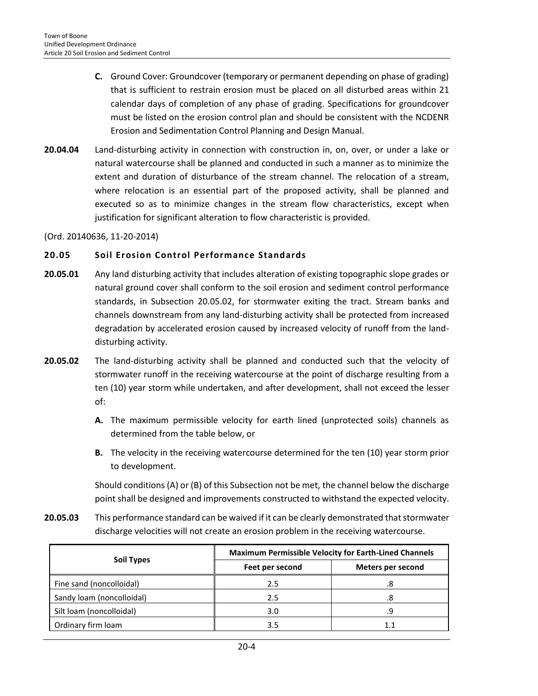- **C.** Ground Cover: Groundcover (temporary or permanent depending on phase of grading) that is sufficient to restrain erosion must be placed on all disturbed areas within 21 calendar days of completion of any phase of grading. Specifications for groundcover must be listed on the erosion control plan and should be consistent with the NCDENR Erosion and Sedimentation Control Planning and Design Manual.
- **20.04.04** Land-disturbing activity in connection with construction in, on, over, or under a lake or natural watercourse shall be planned and conducted in such a manner as to minimize the extent and duration of disturbance of the stream channel. The relocation of a stream, where relocation is an essential part of the proposed activity, shall be planned and executed so as to minimize changes in the stream flow characteristics, except when justification for significant alteration to flow characteristic is provided.

(Ord. 20140636, 11-20-2014)

#### <span id="page-3-0"></span>**20.05 Soil Erosion Control Performance Standards**

- **20.05.01** Any land disturbing activity that includes alteration of existing topographic slope grades or natural ground cover shall conform to the soil erosion and sediment control performance standards, in Subsection 20.05.02, for stormwater exiting the tract. Stream banks and channels downstream from any land-disturbing activity shall be protected from increased degradation by accelerated erosion caused by increased velocity of runoff from the landdisturbing activity.
- **20.05.02** The land-disturbing activity shall be planned and conducted such that the velocity of stormwater runoff in the receiving watercourse at the point of discharge resulting from a ten (10) year storm while undertaken, and after development, shall not exceed the lesser of:
	- **A.** The maximum permissible velocity for earth lined (unprotected soils) channels as determined from the table below, or
	- **B.** The velocity in the receiving watercourse determined for the ten (10) year storm prior to development.

Should conditions (A) or (B) of this Subsection not be met, the channel below the discharge point shall be designed and improvements constructed to withstand the expected velocity.

**20.05.03** This performance standard can be waived if it can be clearly demonstrated that stormwater discharge velocities will not create an erosion problem in the receiving watercourse.

|                           | <b>Maximum Permissible Velocity for Earth-Lined Channels</b> |                   |  |
|---------------------------|--------------------------------------------------------------|-------------------|--|
| <b>Soil Types</b>         | Feet per second                                              | Meters per second |  |
| Fine sand (noncolloidal)  | 2.5                                                          | .8                |  |
| Sandy loam (noncolloidal) | 2.5                                                          | .8                |  |
| Silt loam (noncolloidal)  | 3.0                                                          | . 9               |  |
| Ordinary firm loam        | 3.5                                                          |                   |  |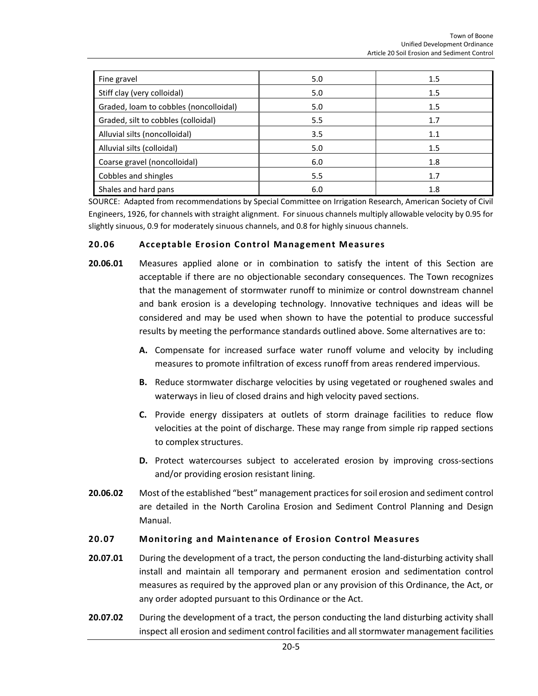| Fine gravel                            | 5.0 | 1.5 |
|----------------------------------------|-----|-----|
| Stiff clay (very colloidal)            | 5.0 | 1.5 |
| Graded, loam to cobbles (noncolloidal) | 5.0 | 1.5 |
| Graded, silt to cobbles (colloidal)    | 5.5 | 1.7 |
| Alluvial silts (noncolloidal)          | 3.5 | 1.1 |
| Alluvial silts (colloidal)             | 5.0 | 1.5 |
| Coarse gravel (noncolloidal)           | 6.0 | 1.8 |
| Cobbles and shingles                   | 5.5 | 1.7 |
| Shales and hard pans                   | 6.0 | 1.8 |

SOURCE: Adapted from recommendations by Special Committee on Irrigation Research, American Society of Civil Engineers, 1926, for channels with straight alignment. For sinuous channels multiply allowable velocity by 0.95 for slightly sinuous, 0.9 for moderately sinuous channels, and 0.8 for highly sinuous channels.

# <span id="page-4-0"></span>**20.06 Acceptable Erosion Control Management Measures**

- **20.06.01** Measures applied alone or in combination to satisfy the intent of this Section are acceptable if there are no objectionable secondary consequences. The Town recognizes that the management of stormwater runoff to minimize or control downstream channel and bank erosion is a developing technology. Innovative techniques and ideas will be considered and may be used when shown to have the potential to produce successful results by meeting the performance standards outlined above. Some alternatives are to:
	- **A.** Compensate for increased surface water runoff volume and velocity by including measures to promote infiltration of excess runoff from areas rendered impervious.
	- **B.** Reduce stormwater discharge velocities by using vegetated or roughened swales and waterways in lieu of closed drains and high velocity paved sections.
	- **C.** Provide energy dissipaters at outlets of storm drainage facilities to reduce flow velocities at the point of discharge. These may range from simple rip rapped sections to complex structures.
	- **D.** Protect watercourses subject to accelerated erosion by improving cross-sections and/or providing erosion resistant lining.
- **20.06.02** Most of the established "best" management practices for soil erosion and sediment control are detailed in the North Carolina Erosion and Sediment Control Planning and Design Manual.

# <span id="page-4-1"></span>**20.07 Monitoring and Maintenance of Erosion Control Measures**

- 20.07.01 During the development of a tract, the person conducting the land-disturbing activity shall install and maintain all temporary and permanent erosion and sedimentation control measures as required by the approved plan or any provision of this Ordinance, the Act, or any order adopted pursuant to this Ordinance or the Act.
- **20.07.02** During the development of a tract, the person conducting the land disturbing activity shall inspect all erosion and sediment control facilities and all stormwater management facilities